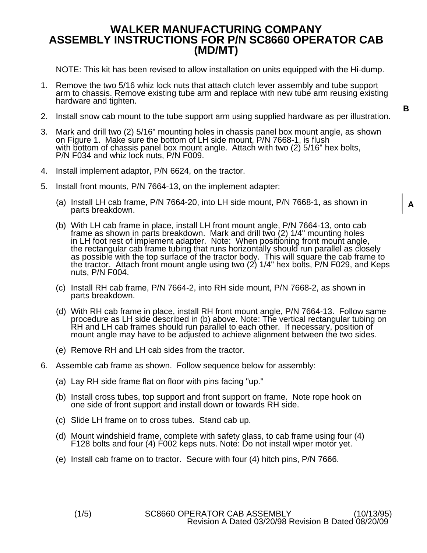## **WALKER MANUFACTURING COMPANY ASSEMBLY INSTRUCTIONS FOR P/N SC8660 OPERATOR CAB (MD/MT)**

NOTE: This kit has been revised to allow installation on units equipped with the Hi-dump.

- 1. Remove the two 5/16 whiz lock nuts that attach clutch lever assembly and tube support arm to chassis. Remove existing tube arm and replace with new tube arm reusing existing hardware and tighten.
- 2. Install snow cab mount to the tube support arm using supplied hardware as per illustration.
- 3. Mark and drill two (2) 5/16" mounting holes in chassis panel box mount angle, as shown on Figure 1. Make sure the bottom of LH side mount, P/N 7668-1, is flush with bottom of chassis panel box mount angle. Attach with two (2) 5/16" hex bolts, P/N F034 and whiz lock nuts, P/N F009.
- 4. Install implement adaptor, P/N 6624, on the tractor.
- 5. Install front mounts, P/N 7664-13, on the implement adapter:
	- (a) Install LH cab frame, P/N 7664-20, into LH side mount, P/N 7668-1, as shown in parts breakdown.
	- (b) With LH cab frame in place, install LH front mount angle, P/N 7664-13, onto cab<br>frame as shown in parts breakdown. Mark and drill two (2) 1/4" mounting holes<br>in LH foot rest of implement adapter. Note: When positioning
	- (c) Install RH cab frame, P/N 7664-2, into RH side mount, P/N 7668-2, as shown in parts breakdown.
	- (d) With RH cab frame in place, install RH front mount angle, P/N 7664-13. Follow same procedure as LH side described in (b) above. Note: The vertical rectangular tubing on RH and LH cab frames should run parallel to each
	- (e) Remove RH and LH cab sides from the tractor.
- 6. Assemble cab frame as shown. Follow sequence below for assembly:
	- (a) Lay RH side frame flat on floor with pins facing "up."
	- (b) Install cross tubes, top support and front support on frame. Note rope hook on one side of front support and install down or towards RH side.
	- (c) Slide LH frame on to cross tubes. Stand cab up.
	- (d) Mount windshield frame, complete with safety glass, to cab frame using four (4) F128 bolts and four (4) F002 keps nuts. Note: Do not install wiper motor yet.
	- (e) Install cab frame on to tractor. Secure with four (4) hitch pins, P/N 7666.

**B** 

**A**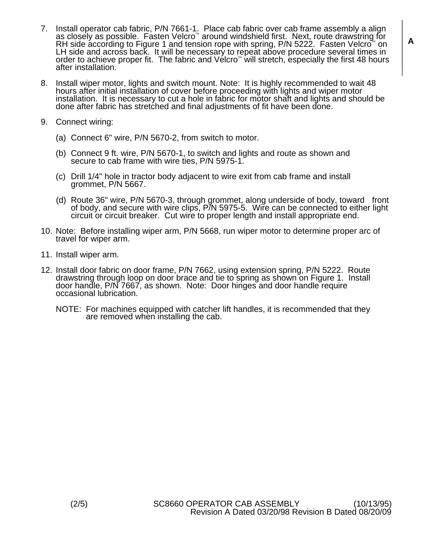- 7. Install operator cab fabric, P/N 7661-1. Place cab fabric over cab frame assembly a align as closely as possible. Fasten Velcro<sup>®</sup> around windshield first. Next, route drawstring for RH side according to Figure 1 and te LH side and across back. It will be necessary to repeat above procedure several times in order to achieve proper fit. The fabric and Vélcro<sup>™</sup> will stretch, especially the first 48 hours after installation.
- 8. Install wiper motor, lights and switch mount. Note: It is highly recommended to wait 48 hours after initial installation of cover before proceeding with lights and wiper motor installation. It is necessary to cut a hole
- 9. Connect wiring:
	- (a) Connect 6" wire, P/N 5670-2, from switch to motor.
	- (b) Connect 9 ft. wire, P/N 5670-1, to switch and lights and route as shown and secure to cab frame with wire ties, P/N 5975-1.
	- (c) Drill 1/4" hole in tractor body adjacent to wire exit from cab frame and install grommet, P/N 5667.
	- (d) Route 36" wire, P/N 5670-3, through grommet, along underside of body, toward front of body, and secure with wire clips, P/N 5975-5. Wire can be connected to either light circuit or circuit breaker. Cut wire to proper l
- 10. Note: Before installing wiper arm, P/N 5668, run wiper motor to determine proper arc of travel for wiper arm.
- 11. Install wiper arm.
- 12. Install door fabric on door frame, P/N 7662, using extension spring, P/N 5222. Route drawstring through loop on door brace and tie to spring as shown on Figure 1. Install door handle, P/N 7667, as shown. Note: Door hin
	- NOTE: For machines equipped with catcher lift handles, it is recommended that they are removed when installing the cab.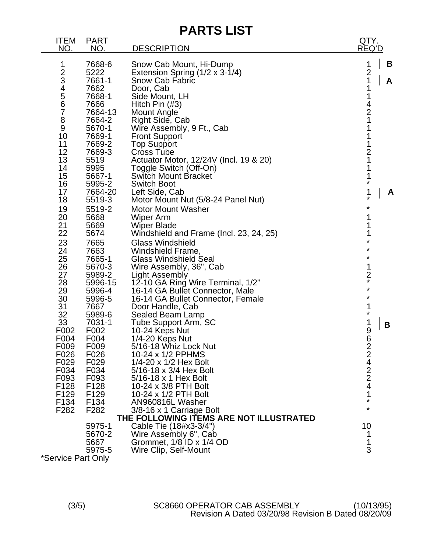| <b>PARTS LIST</b>                                                                                                                                                                                                                                                  |                                                                                                                                                                                                                                                                                                                                                                                                                                                                                           |                                                                                                                 |
|--------------------------------------------------------------------------------------------------------------------------------------------------------------------------------------------------------------------------------------------------------------------|-------------------------------------------------------------------------------------------------------------------------------------------------------------------------------------------------------------------------------------------------------------------------------------------------------------------------------------------------------------------------------------------------------------------------------------------------------------------------------------------|-----------------------------------------------------------------------------------------------------------------|
| <b>PART</b><br><b>ITEM</b><br>NO.<br>NO.                                                                                                                                                                                                                           | <b>DESCRIPTION</b>                                                                                                                                                                                                                                                                                                                                                                                                                                                                        | QTY.<br>REQ'D                                                                                                   |
| 1<br>7668-6<br>234567<br>5222<br>7661-1<br>7662<br>7668-1<br>7666<br>7664-13<br>$\bf 8$<br>7664-2<br>9<br>5670-1<br>10<br>7669-1<br>11<br>7669-2<br>12<br>7669-3<br>13<br>5519<br>14<br>5995                                                                       | Snow Cab Mount, Hi-Dump<br>Extension Spring (1/2 x 3-1/4)<br><b>Snow Cab Fabric</b><br>Door, Cab<br>Side Mount, LH<br>Hitch Pin $(\#3)$<br><b>Mount Angle</b><br>Right Side, Cab<br>Wire Assembly, 9 Ft., Cab<br><b>Front Support</b><br><b>Top Support</b><br><b>Cross Tube</b><br>Actuator Motor, 12/24V (Incl. 19 & 20)<br>Toggle Switch (Off-On)                                                                                                                                      | B<br>1<br>$\frac{2}{1}$<br>A<br>1<br>1<br>$\frac{4}{2}$<br>1<br>1<br>1<br>1<br>$\frac{2}{1}$<br>1               |
| 15<br>5667-1<br>16<br>5995-2<br>17<br>7664-20<br>18<br>5519-3<br>5519-2<br>19<br>20<br>5668<br>21<br>5669<br>22<br>5674<br>23<br>7665<br>24<br>7663<br>25<br>7665-1<br>26<br>5670-3<br>27<br>5989-2<br>28<br>5996-15<br>29<br>5996-4<br>30<br>5996-5<br>31<br>7667 | <b>Switch Mount Bracket</b><br><b>Switch Boot</b><br>Left Side, Cab<br>Motor Mount Nut (5/8-24 Panel Nut)<br><b>Motor Mount Washer</b><br>Wiper Arm<br><b>Wiper Blade</b><br>Windshield and Frame (Incl. 23, 24, 25)<br><b>Glass Windshield</b><br>Windshield Frame,<br><b>Glass Windshield Seal</b><br>Wire Assembly, 36", Cab<br><b>Light Assembly</b><br>12-10 GA Ring Wire Terminal, 1/2"<br>16-14 GA Bullet Connector, Male<br>16-14 GA Bullet Connector, Female<br>Door Handle, Cab | 1<br>*<br>1<br>A<br>$\star$<br>*<br>1<br>1<br>1<br>¥<br>¥<br>¥<br>1<br>$\frac{2}{x}$<br>$\star$<br>$\star$<br>1 |
| 32<br>5989-6<br>33<br>7031-1<br>F002<br>F002<br>F004<br>F004<br>F009<br>F009<br>F026<br>F026<br>F029<br>F029<br>F034<br>F034<br>F093<br>F093<br>F128<br>F128<br>F <sub>129</sub><br>F <sub>129</sub><br>F134<br>F134<br>F <sub>2</sub> 82<br>F <sub>282</sub>      | Sealed Beam Lamp<br>Tube Support Arm, SC<br>10-24 Keps Nut<br>1/4-20 Keps Nut<br>5/16-18 Whiz Lock Nut<br>10-24 x 1/2 PPHMS<br>1/4-20 x 1/2 Hex Bolt<br>5/16-18 x 3/4 Hex Bolt<br>5/16-18 x 1 Hex Bolt<br>10-24 x 3/8 PTH Bolt<br>10-24 x 1/2 PTH Bolt<br>AN960816L Washer<br>3/8-16 x 1 Carriage Bolt<br>THE FOLLOWING ITEMS ARE NOT ILLUSTRATED                                                                                                                                         | $\star$<br>1<br>B<br>9<br>6224224<br>1<br>$\star$<br>*                                                          |
| 5975-1<br>5670-2<br>5667<br>5975-5<br>*Service Part Only                                                                                                                                                                                                           | Cable Tie (18#x3-3/4")<br>Wire Assembly 6", Cab<br>Grommet, 1/8 ID x 1/4 OD<br>Wire Clip, Self-Mount                                                                                                                                                                                                                                                                                                                                                                                      | 10<br>1<br>1<br>3                                                                                               |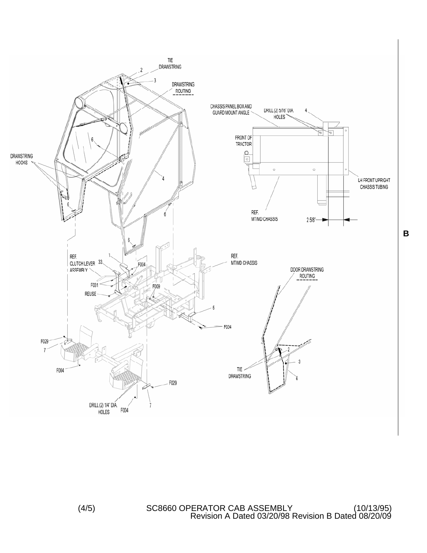